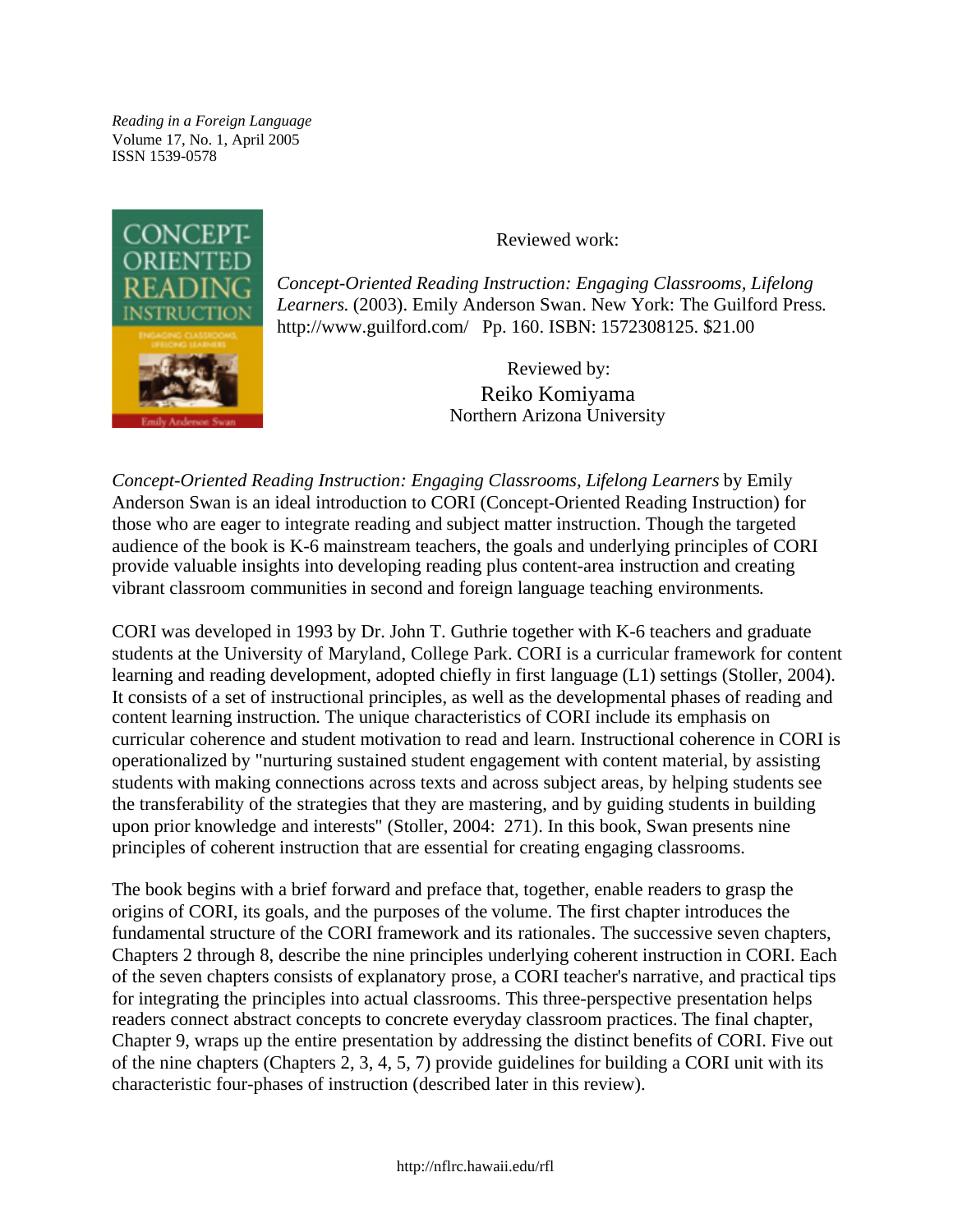*Reading in a Foreign Language* Volume 17, No. 1, April 2005 ISSN 1539-0578



Reviewed work:

*Concept-Oriented Reading Instruction: Engaging Classrooms, Lifelong Learners*. (2003). Emily Anderson Swan. New York: The Guilford Press. <http://www.guilford.com/> Pp. 160. ISBN: 1572308125. \$21.00

> Reviewed by: Reiko Komiyama Northern Arizona University

*Concept-Oriented Reading Instruction: Engaging Classrooms, Lifelong Learners* by Emily Anderson Swan is an ideal introduction to CORI (Concept-Oriented Reading Instruction) for those who are eager to integrate reading and subject matter instruction. Though the targeted audience of the book is K-6 mainstream teachers, the goals and underlying principles of CORI provide valuable insights into developing reading plus content-area instruction and creating vibrant classroom communities in second and foreign language teaching environments.

CORI was developed in 1993 by Dr. John T. Guthrie together with K-6 teachers and graduate students at the University of Maryland, College Park. CORI is a curricular framework for content learning and reading development, adopted chiefly in first language (L1) settings (Stoller, 2004). It consists of a set of instructional principles, as well as the developmental phases of reading and content learning instruction. The unique characteristics of CORI include its emphasis on curricular coherence and student motivation to read and learn. Instructional coherence in CORI is operationalized by "nurturing sustained student engagement with content material, by assisting students with making connections across texts and across subject areas, by helping students see the transferability of the strategies that they are mastering, and by guiding students in building upon prior knowledge and interests" (Stoller, 2004: 271). In this book, Swan presents nine principles of coherent instruction that are essential for creating engaging classrooms.

The book begins with a brief forward and preface that, together, enable readers to grasp the origins of CORI, its goals, and the purposes of the volume. The first chapter introduces the fundamental structure of the CORI framework and its rationales. The successive seven chapters, Chapters 2 through 8, describe the nine principles underlying coherent instruction in CORI. Each of the seven chapters consists of explanatory prose, a CORI teacher's narrative, and practical tips for integrating the principles into actual classrooms. This three-perspective presentation helps readers connect abstract concepts to concrete everyday classroom practices. The final chapter, Chapter 9, wraps up the entire presentation by addressing the distinct benefits of CORI. Five out of the nine chapters (Chapters 2, 3, 4, 5, 7) provide guidelines for building a CORI unit with its characteristic four-phases of instruction (described later in this review).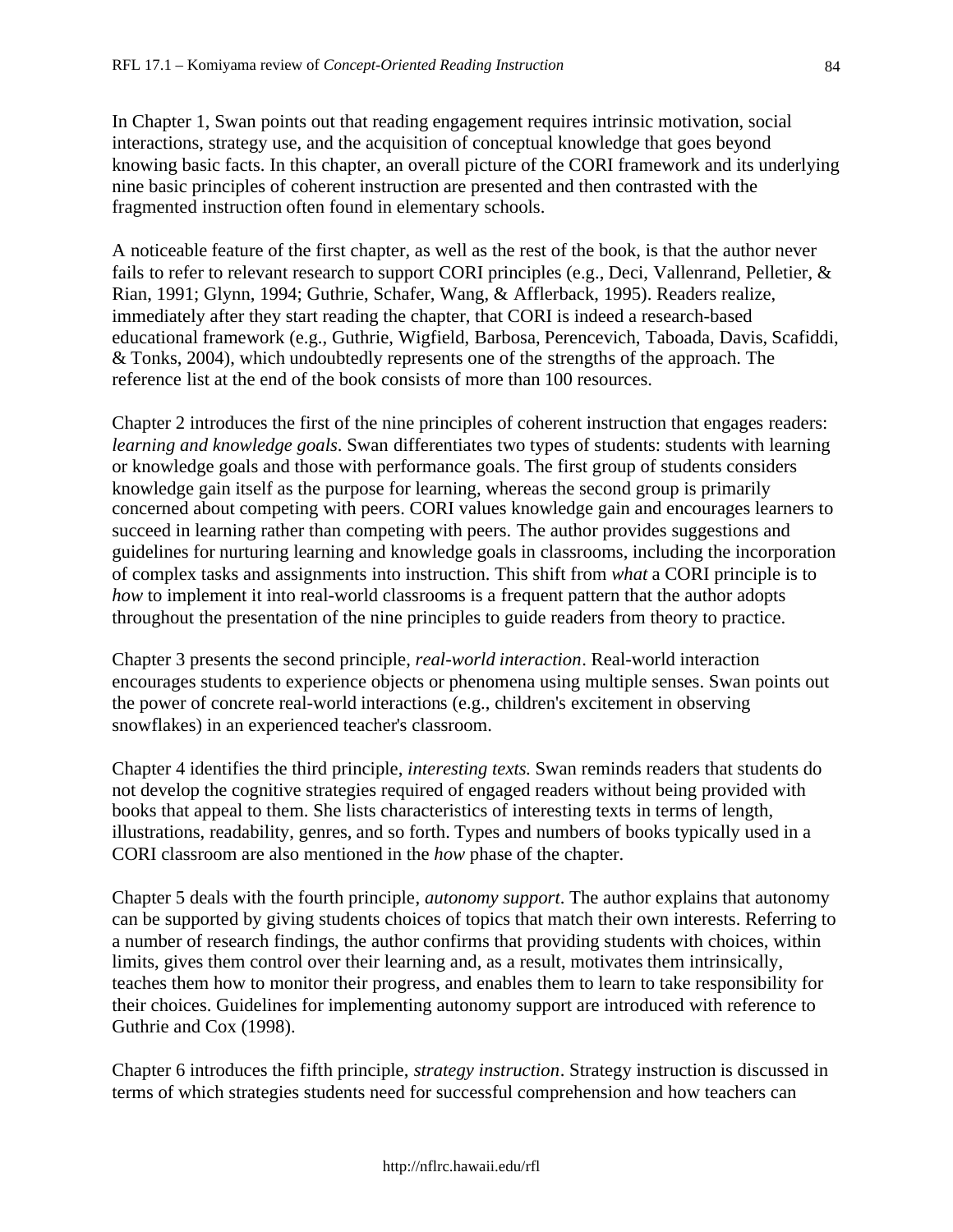In Chapter 1, Swan points out that reading engagement requires intrinsic motivation, social interactions, strategy use, and the acquisition of conceptual knowledge that goes beyond knowing basic facts. In this chapter, an overall picture of the CORI framework and its underlying nine basic principles of coherent instruction are presented and then contrasted with the fragmented instruction often found in elementary schools.

A noticeable feature of the first chapter, as well as the rest of the book, is that the author never fails to refer to relevant research to support CORI principles (e.g., Deci, Vallenrand, Pelletier, & Rian, 1991; Glynn, 1994; Guthrie, Schafer, Wang, & Afflerback, 1995). Readers realize, immediately after they start reading the chapter, that CORI is indeed a research-based educational framework (e.g., Guthrie, Wigfield, Barbosa, Perencevich, Taboada, Davis, Scafiddi, & Tonks, 2004), which undoubtedly represents one of the strengths of the approach. The reference list at the end of the book consists of more than 100 resources.

Chapter 2 introduces the first of the nine principles of coherent instruction that engages readers: *learning and knowledge goals*. Swan differentiates two types of students: students with learning or knowledge goals and those with performance goals. The first group of students considers knowledge gain itself as the purpose for learning, whereas the second group is primarily concerned about competing with peers. CORI values knowledge gain and encourages learners to succeed in learning rather than competing with peers. The author provides suggestions and guidelines for nurturing learning and knowledge goals in classrooms, including the incorporation of complex tasks and assignments into instruction. This shift from *what* a CORI principle is to *how* to implement it into real-world classrooms is a frequent pattern that the author adopts throughout the presentation of the nine principles to guide readers from theory to practice.

Chapter 3 presents the second principle, *real-world interaction*. Real-world interaction encourages students to experience objects or phenomena using multiple senses. Swan points out the power of concrete real-world interactions (e.g., children's excitement in observing snowflakes) in an experienced teacher's classroom.

Chapter 4 identifies the third principle, *interesting texts*. Swan reminds readers that students do not develop the cognitive strategies required of engaged readers without being provided with books that appeal to them. She lists characteristics of interesting texts in terms of length, illustrations, readability, genres, and so forth. Types and numbers of books typically used in a CORI classroom are also mentioned in the *how* phase of the chapter.

Chapter 5 deals with the fourth principle, *autonomy support*. The author explains that autonomy can be supported by giving students choices of topics that match their own interests. Referring to a number of research findings, the author confirms that providing students with choices, within limits, gives them control over their learning and, as a result, motivates them intrinsically, teaches them how to monitor their progress, and enables them to learn to take responsibility for their choices. Guidelines for implementing autonomy support are introduced with reference to Guthrie and Cox (1998).

Chapter 6 introduces the fifth principle, *strategy instruction*. Strategy instruction is discussed in terms of which strategies students need for successful comprehension and how teachers can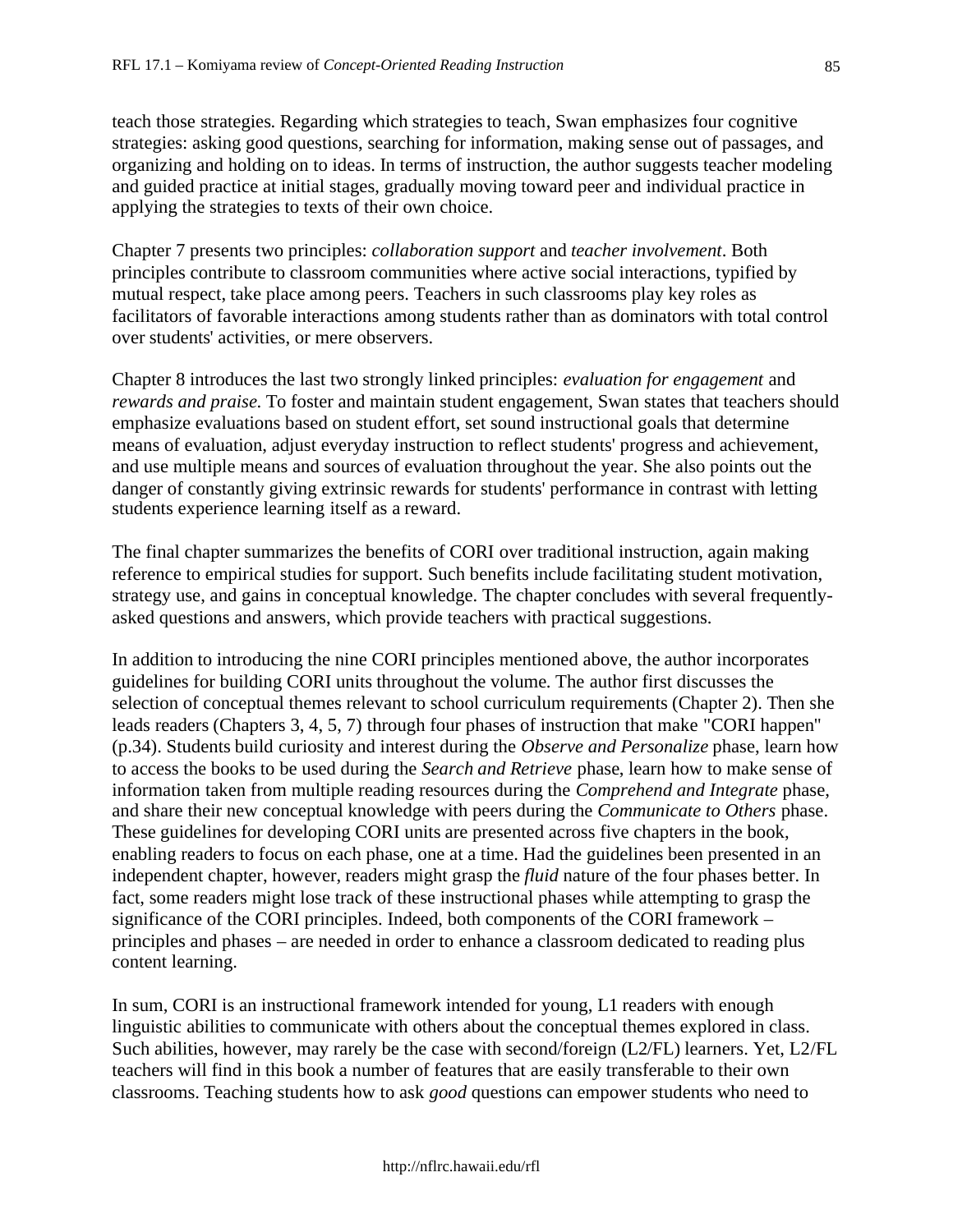teach those strategies. Regarding which strategies to teach, Swan emphasizes four cognitive strategies: asking good questions, searching for information, making sense out of passages, and organizing and holding on to ideas. In terms of instruction, the author suggests teacher modeling and guided practice at initial stages, gradually moving toward peer and individual practice in applying the strategies to texts of their own choice.

Chapter 7 presents two principles: *collaboration support* and *teacher involvement*. Both principles contribute to classroom communities where active social interactions, typified by mutual respect, take place among peers. Teachers in such classrooms play key roles as facilitators of favorable interactions among students rather than as dominators with total control over students' activities, or mere observers.

Chapter 8 introduces the last two strongly linked principles: *evaluation for engagement* and *rewards and praise*. To foster and maintain student engagement, Swan states that teachers should emphasize evaluations based on student effort, set sound instructional goals that determine means of evaluation, adjust everyday instruction to reflect students' progress and achievement, and use multiple means and sources of evaluation throughout the year. She also points out the danger of constantly giving extrinsic rewards for students' performance in contrast with letting students experience learning itself as a reward.

The final chapter summarizes the benefits of CORI over traditional instruction, again making reference to empirical studies for support. Such benefits include facilitating student motivation, strategy use, and gains in conceptual knowledge. The chapter concludes with several frequentlyasked questions and answers, which provide teachers with practical suggestions.

In addition to introducing the nine CORI principles mentioned above, the author incorporates guidelines for building CORI units throughout the volume. The author first discusses the selection of conceptual themes relevant to school curriculum requirements (Chapter 2). Then she leads readers (Chapters 3, 4, 5, 7) through four phases of instruction that make "CORI happen" (p.34). Students build curiosity and interest during the *Observe and Personalize* phase, learn how to access the books to be used during the *Search and Retrieve* phase, learn how to make sense of information taken from multiple reading resources during the *Comprehend and Integrate* phase, and share their new conceptual knowledge with peers during the *Communicate to Others* phase. These guidelines for developing CORI units are presented across five chapters in the book, enabling readers to focus on each phase, one at a time. Had the guidelines been presented in an independent chapter, however, readers might grasp the *fluid* nature of the four phases better. In fact, some readers might lose track of these instructional phases while attempting to grasp the significance of the CORI principles. Indeed, both components of the CORI framework – principles and phases – are needed in order to enhance a classroom dedicated to reading plus content learning.

In sum, CORI is an instructional framework intended for young, L1 readers with enough linguistic abilities to communicate with others about the conceptual themes explored in class. Such abilities, however, may rarely be the case with second/foreign (L2/FL) learners. Yet, L2/FL teachers will find in this book a number of features that are easily transferable to their own classrooms. Teaching students how to ask *good* questions can empower students who need to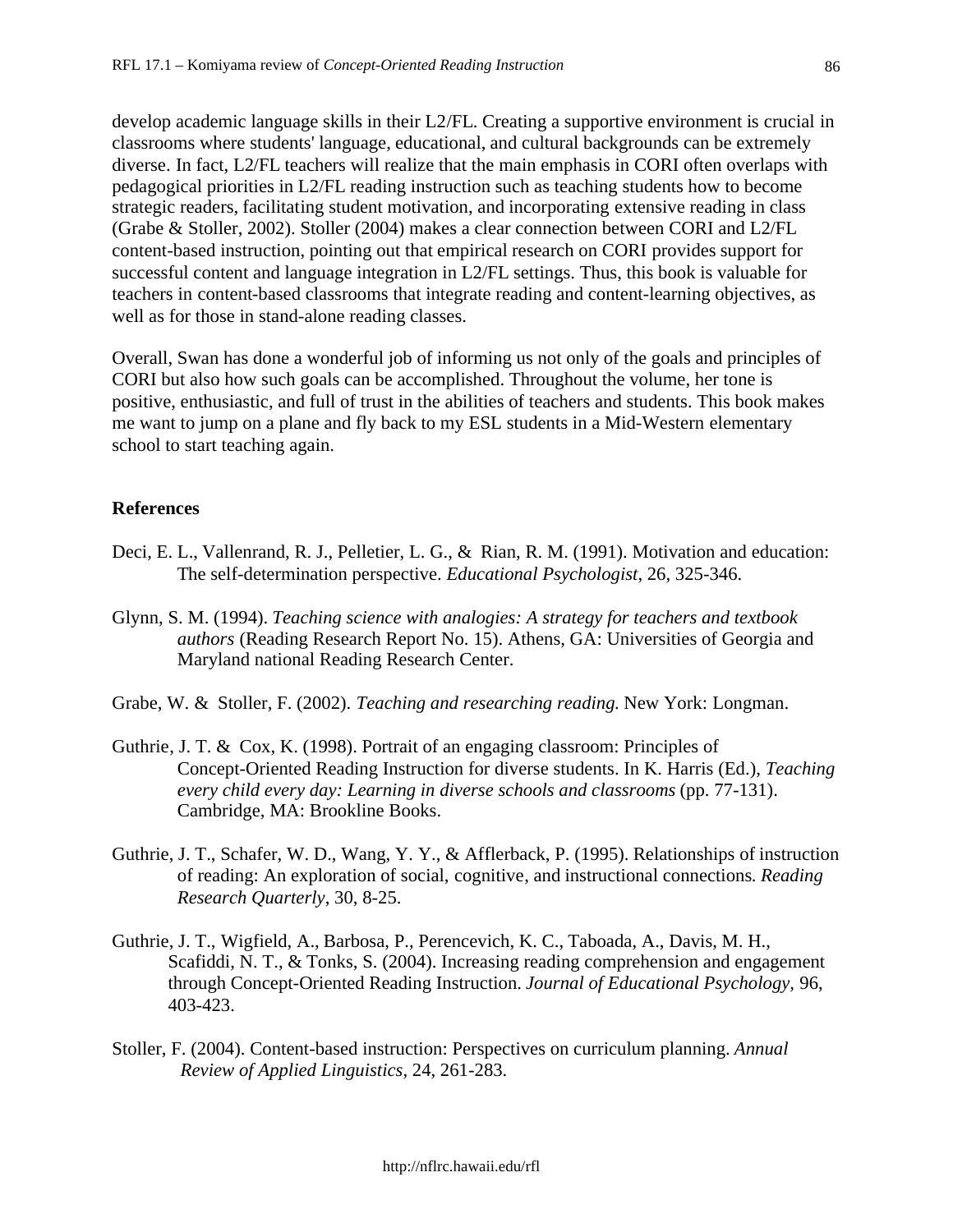develop academic language skills in their L2/FL. Creating a supportive environment is crucial in classrooms where students' language, educational, and cultural backgrounds can be extremely diverse. In fact, L2/FL teachers will realize that the main emphasis in CORI often overlaps with pedagogical priorities in L2/FL reading instruction such as teaching students how to become strategic readers, facilitating student motivation, and incorporating extensive reading in class (Grabe & Stoller, 2002). Stoller (2004) makes a clear connection between CORI and L2/FL content-based instruction, pointing out that empirical research on CORI provides support for successful content and language integration in L2/FL settings. Thus, this book is valuable for teachers in content-based classrooms that integrate reading and content-learning objectives, as well as for those in stand-alone reading classes.

Overall, Swan has done a wonderful job of informing us not only of the goals and principles of CORI but also how such goals can be accomplished. Throughout the volume, her tone is positive, enthusiastic, and full of trust in the abilities of teachers and students. This book makes me want to jump on a plane and fly back to my ESL students in a Mid-Western elementary school to start teaching again.

## **References**

- Deci, E. L., Vallenrand, R. J., Pelletier, L. G., & Rian, R. M. (1991). Motivation and education: The self-determination perspective. *Educational Psychologist*, 26, 325-346.
- Glynn, S. M. (1994). *Teaching science with analogies: A strategy for teachers and textbook authors* (Reading Research Report No. 15). Athens, GA: Universities of Georgia and Maryland national Reading Research Center.
- Grabe, W. & Stoller, F. (2002). *Teaching and researching reading*. New York: Longman.
- Guthrie, J. T. & Cox, K. (1998). Portrait of an engaging classroom: Principles of Concept-Oriented Reading Instruction for diverse students. In K. Harris (Ed.), *Teaching every child every day: Learning in diverse schools and classrooms* (pp. 77-131). Cambridge, MA: Brookline Books.
- Guthrie, J. T., Schafer, W. D., Wang, Y. Y., & Afflerback, P. (1995). Relationships of instruction of reading: An exploration of social, cognitive, and instructional connections. *Reading Research Quarterly*, 30, 8-25.
- Guthrie, J. T., Wigfield, A., Barbosa, P., Perencevich, K. C., Taboada, A., Davis, M. H., Scafiddi, N. T., & Tonks, S. (2004). Increasing reading comprehension and engagement through Concept-Oriented Reading Instruction. *Journal of Educational Psychology,* 96, 403-423.
- Stoller, F. (2004). Content-based instruction: Perspectives on curriculum planning. *Annual Review of Applied Linguistics*, 24, 261-283.